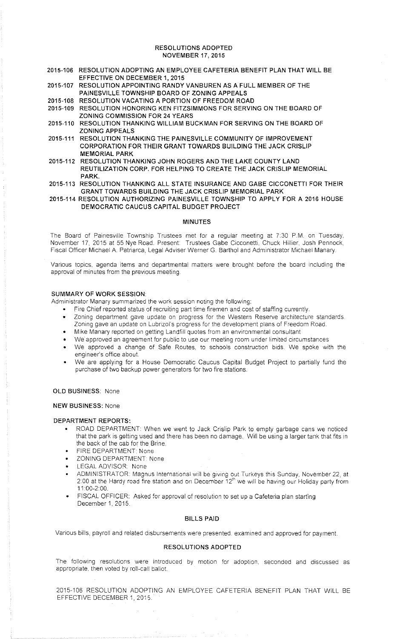#### RESOLUTIONS ADOPTED NOVEMBER 17, 2015

- 2015-106 RESOLUTION ADOPTING AN EMPLOYEE CAFETERIA BENEFIT PLAN THAT WILL BE EFFECTIVE ON DECEMBER 1, 2015
- 2015-107 RESOLUTION APPOINTING RANDY VANBUREN AS A FULL MEMBER OF THE PAINESVILLE TOWNSHIP BOARD OF ZONING APPEALS
- 2015-108 RESOLUTION VACATING A PORTION OF FREEDOM ROAD
- 2015-109 RESOLUTION HONORING KEN FITZSIMMONS FOR SERVING ON THE BOARD OF ZONING COMMISSION FOR 24 YEARS
- 2015-110 RESOLUTION THANKING WILLIAM BUCKMAN FOR SERVING ON THE BOARD OF ZONING APPEALS
- 2015-111 RESOLUTION THANKING THE PAINESVILLE COMMUNITY OF IMPROVEMENT CORPORATION FOR THEIR GRANT TOWARDS BUILDING THE JACK CRISLIP MEMORIAL PARK
- 2015-112 RESOLUTION THANKING JOHN ROGERS AND THE LAKE COUNTY LAND REUTILIZATION CORP. FOR HELPING TO CREATE THE JACK CRISLIP MEMORIAL PARK.
- 2015-113 RESOLUTION THANKING ALL STATE INSURANCE AND GABE CICCONETTI FOR THEIR GRANT TOWARDS BUILDING THE JACK CRISLIP MEMORIAL PARK
- 2015-114 RESOLUTION AUTHORIZING PAINESVILLE TOWNSHIP TO APPLY FOR A 2016 HOUSE DEMOCRATIC CAUCUS CAPITAL BUDGET PROJECT

#### MINUTES

The Board of Painesville Township Trustees met for a regular meeting at 7:30 P.M. on Tuesday. November 17, 2015 at 55 Nye Road. Present: Trustees Gabe Cicconetti, Chuck Hillier, Josh Pennock, Fiscal Officer Michael A. Patriarca, Legal Adviser Werner G. Barthol and Administrator Michael Manary.

Various topics, agenda items and departmental matters were brought before the board including the approval of minutes from the previous meeting.

# SUMMARY OF WORK SESSION

Administrator Manary summarized the work session noting the following

- Fire Chief reported status of recruiting part time firemen and cost of staffing currently.
- Zoning department gave update on progress for the Western Reserve architecture standards. Zoning gave an update on Lubrizol's progress for the development plans of Freedom Road.
- Mike Manary reported on getting Landfill quotes from an environmental consultant
- We approved an agreement for public to use our meeting room under limited circumstances
- We approved a change of Safe Routes, to schools construction bids. We spoke with the engineer's office about.
- We are applying for a House Democratic Caucus Capital Budget Project to partially fund the purchase of two backup power generators for two fire stations.

OLD BUSINESS: None

NEW BUSINESS: None

## DEPARTMENT REPORTS:

- ROAD DEPARTMENT: When we went to Jack Crislip Park to empty garbage cans we noticed that the park is getting used and there has been no damage. Will be using a larger tank that fits in the back of the cab for the Brine.
- FIRE DEPARTMENT: None
- ZONING DEPARTMENT None
- **LEGAL ADVISOR: None**
- ADMINISTRATOR Magnus International will be giving out Turkeys this Sunday, November 22. at 2:00 at the Hardy road fire station and on December 12" we will be having our Holiday party from 11 00-2 00
- FISCAL OFFICER: Asked for approval of resolution to set up a Cafeteria plan starting December 1, 2015.

#### BILLS PAID

Various bills. payroll and related disbursements were presented. examined and approved for payment.

### RESOLUTIONS ADOPTED

The following resolutions were introduced by motion for adoption. seconded and discussed as appropriate. then voted by roll-call ballot.

2015-106 RESOLUTION ADOPTING AN EMPLOYEE CAFETERIA BENEFIT PLAN THAT WILL BE EFFECTIVE DECEMBER 1, 2015.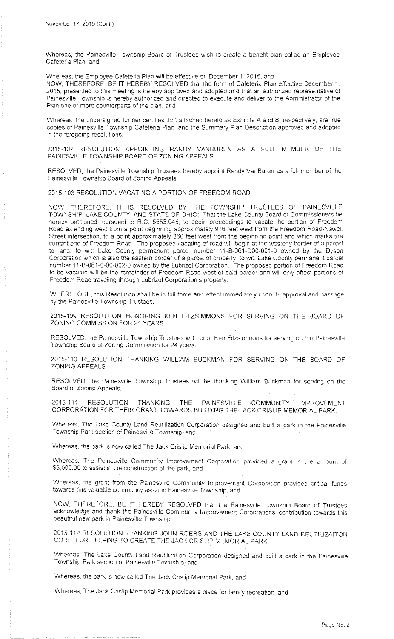Whereas, the Painesville Township Board of Trustees wish to create a benefit plan called an Employee Cafeteria Plan. and

Whereas, the Employee Cafeteria Plan will be effective on December 1. 2015, and

NOW, THEREFORE, BE IT HEREBY RESOLVED that the form of Cafeteria Plan effective December 1, 2015, presented to this meeting is hereby approved and adopted and that an authorized representative of Painesville Township is hereby authorized and directed to execute and deliver to the Administrator of the Plan one or more counterparts of the plan, and

Whereas, the undersigned further certifies that attached hereto as Exhibits A and B, respectively, are true copies of Painesville Township Cafeteria Plan. and the Summary Plan Description approved and adopted in the foregoing resolutions.

2015-107 RESOLUTION APPOINTING RANDY VANBUREN AS A FULL MEMBER OF THE PAINESVILLE TOWNSHIP BOARD OF ZONING APPEALS

RESOLVED, the Painesville Township Trustees hereby appoint Randy VanBuren as a full member of the Painesville Township Board of Zoning Appeals.

2015-108 RESOLUTION VACATING A PORTION OF FREEDOM ROAD

NOW, THEREFORE, IT IS RESOLVED BY THE TOWNSHIP TRUSTEES OF PAINESVILLE TOWNSHIP, LAKE COUNTY, AND STATE OF OHIO: That the Lake County Board of Commissioners be hereby petitioned, pursuant to R.C. 5553.045, to begin proceedings to vacate the portion of Freedom Road extending west from a point beginning approximately 976 feet west from the Freedom Road-Newell Street intersection, to a point approximately 860 feet west from the beginning point and which marks tne current end of Freedom Road. The proposed vacating of road will begin at the westerly border of a parcel to land, to wit; Lake County permanent parcel number 11-B-061-D00-001-0 owned by the Dyson Corporation which is also the eastern border of a parcel of property, to wit; Lake County permanent parcel number 11-B-061-0-00-002-0 owned by the Lubrizol Corporation. The proposed portion of Freedom Road to be vacated will be the remainder of Freedom Road west of said border and will only affect portions of Freedom Road traveling through Lubrizol Corporation's property.

WHEREFORE, this Resolution shall be in full force and effect immediately upon its approval and passage by the Painesville Township Trustees.

2015-109 RESOLUTION HONORING KEN FITZSIMMONS FOR SERVING ON THE BOARD OF ZONING COMMISSION FOR 24 YEARS.

RESOLVED, the Painesville Township Trustees will honor Ken Fitzsimmons for serving on the Painesville Township Board of Zoning Commission for 24 years.

2015-110 RESOLUTION THANKING WILLIAM BUCKMAN FOR SERVING ON THE BOARD OF ZONING APPEALS

RESOLVED, the Painesville Township Trustees will be thanking William Buckman for serving on the Board of Zoning Appeals.

2015-111 RESOLUTION THANKING THE PAINESVILLE COMMUNITY IMPROVEMENT CORPORATION FOR THEIR GRANT TOWARDS BUILDING THE JACK CRISLIP MEMORIAL PARK.

Whereas. The Lake County Land Reutilization Corporation designed and built a park in the Painesville Township Park section of Painesville Township, and

Whereas, the park is now called The Jack Crislip Memorial Park, and

Whereas. The Painesville Community Improvement Corporation provided a grant :n the amount of \$3,000.00 to assist in the construction of the park, and

Whereas, the grant from the Painesville Community Improvement Corporation provided critical funds towards this valuable community asset in Painesville Township, and

NOW, THEREFORE, BE IT HEREBY RESOLVED that the Painesville Township Board of Trustees acknowledge and thank the Painesville Community Improvement Corporations' contribution towards this beautiful new park in Painesville Township.

2015-112 RESOLUTION THANKING JOHN ROERS AND THE LAKE COUNTY LAND REUTILIZAITON CORP. FOR HELPING TO CREATE THE JACK CRISLIP MEMORIAL PARK.

Whereas. The Lake County Land Reutilization Corporation designed and built a park in the Painesville Township Park section of Painesville Township, and

Whereas, the park 1s now called The Jack Crislip Memorial Park, and

Whereas, The Jack Crislip Memorial Park provides a place for family recreation, and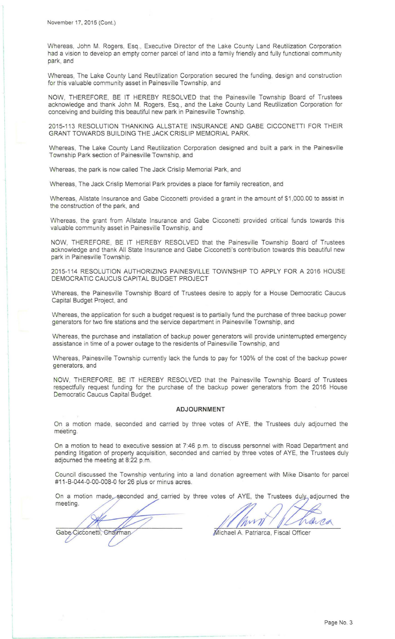Whereas, John M. Rogers, Esq., Executive Director of the Lake County Land Reutilization Corporation had a vision to develop an empty corner parcel of land into a family friendly and fully functional community park, and

Whereas, The Lake County Land Reutilization Corporation secured the funding, design and construction for this valuable community asset in Painesville Township, and

NOW, THEREFORE, BE IT HEREBY RESOLVED that the Painesville Township Board of Trustees acknowledge and thank John M. Rogers, Esq., and the Lake County Land Reutilization Corporation for conceiving and building this beautiful new park in Painesville Township.

2015-113 RESOLUTION THANKING ALLSTATE INSURANCE AND GABE CICCONETTI FOR THEIR GRANT TOWARDS BUILDING THE JACK CRISLIP MEMORIAL PARK.

Whereas, The Lake County Land Reutilization Corporation designed and built a park in the Painesville Township Park section of Painesville Township, and

Whereas, the park is now called The Jack Crislip Memorial Park, and

Whereas, The Jack Crislip Memorial Park provides a place for family recreation, and

Whereas, Allstate Insurance and Gabe Cicconetti provided a grant in the amount of \$1 ,000.00 to assist in the construction of the park, and

Whereas, the grant from Allstate Insurance and Gabe Cicconetti provided critical funds towards this valuable community asset in Painesville Township, and

NOW, THEREFORE, BE IT HEREBY RESOLVED that the Painesville Township Board of Trustees acknowledge and thank All State Insurance and Gabe Cicconetti's contribution towards this beautiful new park in Painesville Township.

2015-114 RESOLUTION AUTHORIZING PAINESVILLE TOWNSHIP TO APPLY FOR A 2016 HOUSE DEMOCRATIC CAUCUS CAPITAL BUDGET PROJECT

Whereas, the Painesville Township Board of Trustees desire to apply for a House Democratic Caucus Capital Budget Project, and

Whereas, the application for such a budget request is to partially fund the purchase of three backup power generators for two fire stations and the service department in Painesville Township, and

Whereas, the purchase and installation of backup power generators will provide uninterrupted emergency assistance in time of a power outage to the residents of Painesville Township, and

Whereas, Painesville Township currently lack the funds to pay for 100% of the cost of the backup power generators, and

NOW, THEREFORE, BE IT HEREBY RESOLVED that the Painesville Township Board of Trustees respectfully request funding for the purchase of the backup power generators from the 2016 House Democratic Caucus Capital Budget.

#### **ADJOURNMENT**

On a motion made, seconded and carried by three votes of AYE, the Trustees duly adjourned the meeting.

On a motion to head to executive session at 7:46 p.m. to discuss personnel with Road Department and pending litigation of property acquisition, seconded and carried by three votes of AYE, the Trustees duly adjourned the meeting at 8:22 p.m.

Council discussed the Township venturing into a land donation agreement with Mike Disanto for parcel #11 -B-044-0-00-008-0 for 26 plus or minus acres.

On a motion made seconded and carried by three votes of AYE, the Trustees duly adjourned the meeting.

Gabe Cicconetti, Chairman

arra M

Michael A. Patriarca, Fiscal Officer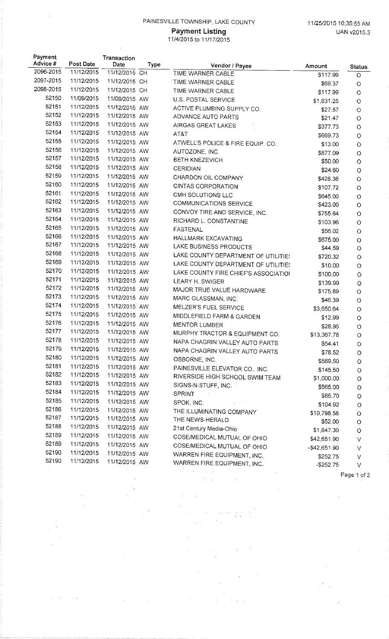# PAINESVILLE TOWNSHIP, LAKE COUNTY 11/25/2015 10:35:55 AM

l,

 $\ddot{\phantom{0}}$  $\ddot{\phantom{a}}$ 

> $\mathcal{L}_{\mathcal{A}}$ Ŷ,

> $\sim$   $\sim$

 $\hat{\mathcal{A}}$ 

 $\bar{\beta}$ 

 $\ddot{\phantom{a}}$ 

 $\frac{1}{2} \left( \frac{1}{2} \right)^2 \left( \frac{1}{2} \right)^2 \left( \frac{1}{2} \right)^2$ 

# 11/4/2015 to 11/17/2015

| Payment   |            | Transaction   |      |                                      |                        |                    |
|-----------|------------|---------------|------|--------------------------------------|------------------------|--------------------|
| Advice #  | Post Date  | Date          | Type | Vendor / Payee                       | Amount                 | <b>Status</b>      |
| 2096-2015 | 11/12/2015 | 11/12/2015 CH |      | TIME WARNER CABLE                    | \$117.99               | $\circ$            |
| 2097-2015 | 11/12/2015 | 11/12/2015 CH |      | TIME WARNER CABLE                    | \$69.37                | $\circ$            |
| 2098-2015 | 11/12/2015 | 11/12/2015 CH |      | TIME WARNER CABLE                    | \$117.99               | $\circ$            |
| 52150     | 11/09/2015 | 11/09/2015 AW |      | U.S. POSTAL SERVICE                  | \$1,831.25             | $\circ$            |
| 52151     | 11/12/2015 | 11/12/2015 AW |      | ACTIVE PLUMBING SUPPLY CO.           | \$27.57                | $\circ$            |
| 52152     | 11/12/2015 | 11/12/2015 AW |      | ADVANCE AUTO PARTS                   | \$21.47                | $\circ$            |
| 52153     | 11/12/2015 | 11/12/2015 AW |      | AIRGAS GREAT LAKES                   | \$377.73               | $\circ$            |
| 52154     | 11/12/2015 | 11/12/2015 AW |      | AT&T                                 | \$669.73               | $\circ$            |
| 52155     | 11/12/2015 | 11/12/2015 AW |      | ATWELL'S POLICE & FIRE EQUIP. CO.    | \$13.00                | $\circ$            |
| 52156     | 11/12/2015 | 11/12/2015 AW |      | AUTOZONE, INC.                       | \$877.09               | $\bigcirc$         |
| 52157     | 11/12/2015 | 11/12/2015 AW |      | BETH KNEZEVICH                       | \$50.00                | $\hbox{O}$         |
| 52158     | 11/12/2015 | 11/12/2015 AW |      | <b>CERIDIAN</b>                      | \$24.60                | $\bigcirc$         |
| 52159     | 11/12/2015 | 11/12/2015 AW |      | CHARDON OIL COMPANY                  | \$428.36               | $\circ$            |
| 52160     | 11/12/2015 | 11/12/2015 AW |      | <b>CINTAS CORPORATION</b>            | \$107.72               | $\circ$            |
| 52161     | 11/12/2015 | 11/12/2015 AW |      | CMH SOLUTIONS LLC                    | \$645.00               | O                  |
| 52162     | 11/12/2015 | 11/12/2015 AW |      | COMMUNICATIONS SERVICE               | \$423.00               | O                  |
| 52163     | 11/12/2015 | 11/12/2015 AW |      | CONVOY TIRE AND SERVICE, INC.        | \$755.64               | $\circ$            |
| 52164     | 11/12/2015 | 11/12/2015 AW |      | RICHARD L. CONSTANTINE               | \$103.96               | $\bigcirc$         |
| 52165     | 11/12/2015 | 11/12/2015 AW |      | FASTENAL                             | \$56.02                | O                  |
| 52166     | 11/12/2015 | 11/12/2015 AW |      | HALLMARK EXCAVATING                  | \$675.00               | $\bigcirc$         |
| 52167     | 11/12/2015 | 11/12/2015 AW |      | LAKE BUSINESS PRODUCTS               | \$44.59                | $\bigcirc$         |
| 52168     | 11/12/2015 | 11/12/2015 AW |      | LAKE COUNTY DEPARTMENT OF UTILITIES  | \$720.32               | $\circ$            |
| 52169     | 11/12/2015 | 11/12/2015 AW |      | LAKE COUNTY DEPARTMENT OF UTILITIES  | \$10.00                | $\circ$            |
| 52170     | 11/12/2015 | 11/12/2015 AW |      | LAKE COUNTY FIRE CHIEF'S ASSOCIATION | \$100.00               | $\circ$            |
| 52171     | 11/12/2015 | 11/12/2015 AW |      | LEARY H. SWIGER                      | \$139.99               | $\circ$            |
| 52172     | 11/12/2015 | 11/12/2015 AW |      | MAJOR TRUE VALUE HARDWARE            | \$175.89               | $\circ$            |
| 52173     | 11/12/2015 | 11/12/2015 AW |      | MARC GLASSMAN, INC.                  | \$46.39                | $\circ$            |
| 52174     | 11/12/2015 | 11/12/2015 AW |      | MELZER'S FUEL SERVICE                | \$3,650.64             | $\circ$            |
| 52175     | 11/12/2015 | 11/12/2015 AW |      | MIDDLEFIELD FARM & GARDEN            | \$12.99                | $\circ$            |
| 52176     | 11/12/2015 | 11/12/2015 AW |      | <b>MENTOR LUMBER</b>                 | \$28.95                | $\bigcirc$         |
| 52177     | 11/12/2015 | 11/12/2015 AW |      | MURPHY TRACTOR & EQUIPMENT CO.       | \$13,367.78            | $\circ$            |
| 52178     | 11/12/2015 | 11/12/2015 AW |      | NAPA CHAGRIN VALLEY AUTO PARTS       | \$54.41                | $\circ$            |
| 52179     | 11/12/2015 | 11/12/2015 AW |      | NAPA CHAGRIN VALLEY AUTO PARTS       | \$78.52                |                    |
| 52180     | 11/12/2015 | 11/12/2015 AW |      | OSBORNE, INC.                        | \$569.50               | $\circ$            |
| 52181     | 11/12/2015 | 11/12/2015 AW |      | PAINESVILLE ELEVATOR CO., INC.       | \$145.50               | $\circ$            |
| 52182     | 11/12/2015 | 11/12/2015 AW |      | RIVERSIDE HIGH SCHOOL SWIM TEAM      | \$1,000.00             | $\circ$<br>$\circ$ |
| 52183     | 11/12/2015 | 11/12/2015 AW |      | SIGNS-N-STUFF, INC.                  | \$565.00               |                    |
| 52184     | 11/12/2015 | 11/12/2015 AW |      | <b>SPRINT</b>                        | \$85.70                | $\circ$            |
| 52185     | 11/12/2015 | 11/12/2015 AW |      | SPOK, INC.                           | \$104.92               | $\circ$            |
| 52186     | 11/12/2015 | 11/12/2015 AW |      | THE ILLUMINATING COMPANY             |                        | $\circ$            |
| 52187     | 11/12/2015 | 11/12/2015 AW |      | THE NEWS-HERALD                      | \$10,798.58<br>\$52.00 | $\circ$            |
| 52188     | 11/12/2015 | 11/12/2015 AW |      | 21st Century Media-Ohio              |                        | $\circ$            |
| 52189     | 11/12/2015 | 11/12/2015 AW |      | COSE/MEDICAL MUTUAL OF OHIO          | \$1,847.30             | $\bigcirc$         |
| 52189     | 11/12/2015 | 11/12/2015 AW |      | COSE/MEDICAL MUTUAL OF OHIO          | \$42,651.90            | V                  |
| 52190     | 11/12/2015 | 11/12/2015 AW |      | WARREN FIRE EQUIPMENT, INC.          | -\$42,651.90           | V                  |
| 52190     | 11/12/2015 | 11/12/2015 AW |      | WARREN FIRE EQUIPMENT, INC.          | \$252.75               | V                  |
|           |            |               |      | and the state of the state of        | $-$ \$252.75           | V                  |
|           |            |               |      |                                      |                        | Page 1 of 2        |
|           |            |               |      |                                      |                        |                    |

 $\chi$  is  $\sigma$ 

 $\bar{a}$ 

 $\frac{1}{2}$  ,

 $\frac{1}{2}$  .

 $\mathcal{A}^{\prime}$ 

 $\frac{1}{2} \frac{1}{2} \left( \frac{1}{2} \right)$ 

 $\hat{\boldsymbol{\beta}}$ 

 $\overline{\phantom{a}}$ 

 $\bar{z}$ 

 $\hat{\mathcal{A}}$ 

 $\sim$